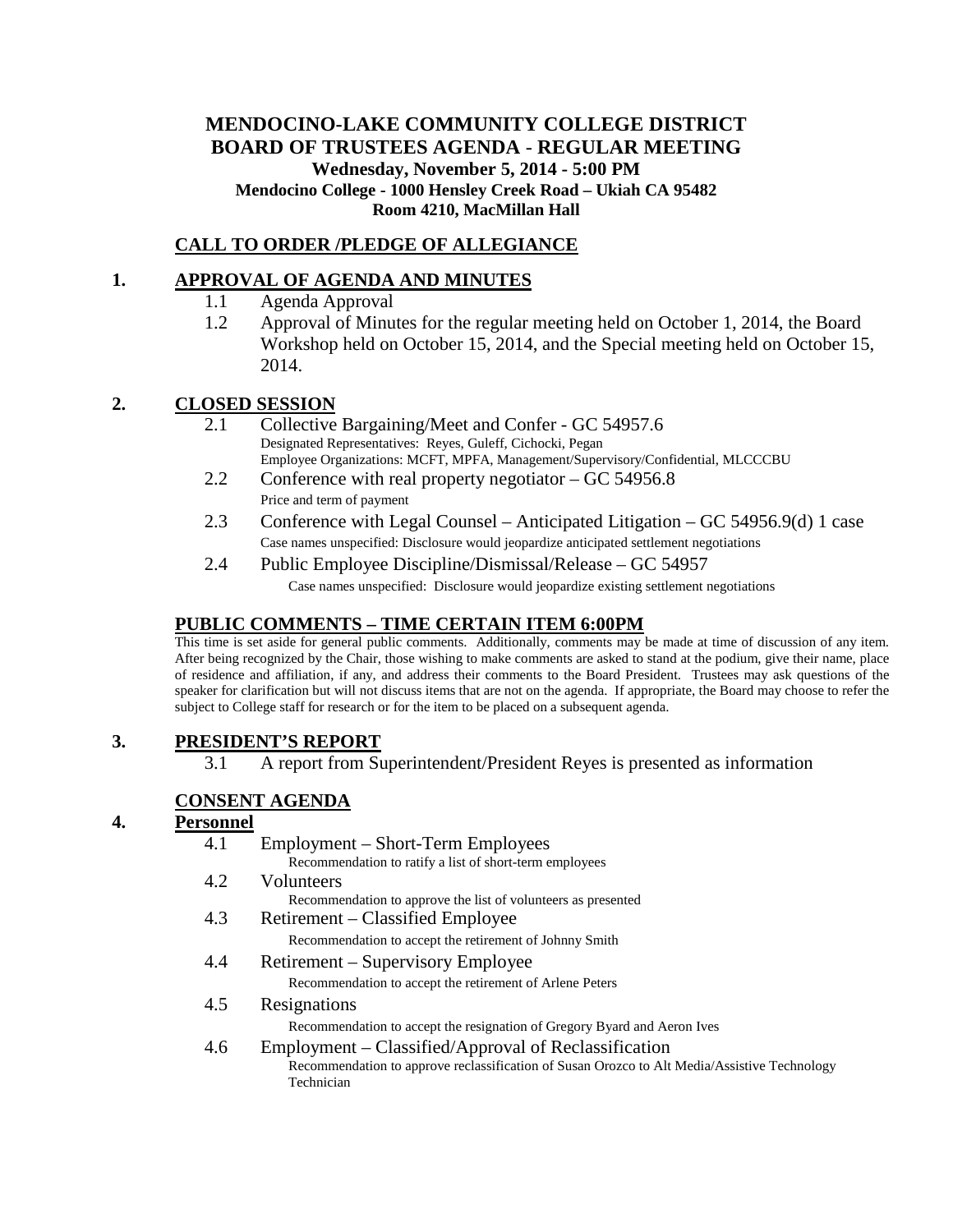# **MENDOCINO-LAKE COMMUNITY COLLEGE DISTRICT BOARD OF TRUSTEES AGENDA** - **REGULAR MEETING Wednesday, November 5, 2014 - 5:00 PM Mendocino College - 1000 Hensley Creek Road – Ukiah CA 95482 Room 4210, MacMillan Hall**

## **CALL TO ORDER /PLEDGE OF ALLEGIANCE**

#### **1. APPROVAL OF AGENDA AND MINUTES**

- 1.1 Agenda Approval
- 1.2 Approval of Minutes for the regular meeting held on October 1, 2014, the Board Workshop held on October 15, 2014, and the Special meeting held on October 15, 2014.

### **2. CLOSED SESSION**

- 2.1 Collective Bargaining/Meet and Confer GC 54957.6 Designated Representatives: Reyes, Guleff, Cichocki, Pegan Employee Organizations: MCFT, MPFA, Management/Supervisory/Confidential, MLCCCBU
- 2.2 Conference with real property negotiator GC 54956.8 Price and term of payment
- 2.3 Conference with Legal Counsel Anticipated Litigation GC 54956.9(d) 1 case Case names unspecified: Disclosure would jeopardize anticipated settlement negotiations
- 2.4 Public Employee Discipline/Dismissal/Release GC 54957 Case names unspecified: Disclosure would jeopardize existing settlement negotiations

### **PUBLIC COMMENTS – TIME CERTAIN ITEM 6:00PM**

This time is set aside for general public comments. Additionally, comments may be made at time of discussion of any item. After being recognized by the Chair, those wishing to make comments are asked to stand at the podium, give their name, place of residence and affiliation, if any, and address their comments to the Board President. Trustees may ask questions of the speaker for clarification but will not discuss items that are not on the agenda. If appropriate, the Board may choose to refer the subject to College staff for research or for the item to be placed on a subsequent agenda.

### **3. PRESIDENT'S REPORT**

3.1 A report from Superintendent/President Reyes is presented as information

### **CONSENT AGENDA**

### **4. Personnel**

4.1 Employment – Short-Term Employees Recommendation to ratify a list of short-term employees 4.2 Volunteers Recommendation to approve the list of volunteers as presented 4.3 Retirement – Classified Employee Recommendation to accept the retirement of Johnny Smith 4.4 Retirement – Supervisory Employee Recommendation to accept the retirement of Arlene Peters 4.5 Resignations Recommendation to accept the resignation of Gregory Byard and Aeron Ives 4.6 Employment – Classified/Approval of Reclassification Recommendation to approve reclassification of Susan Orozco to Alt Media/Assistive Technology Technician